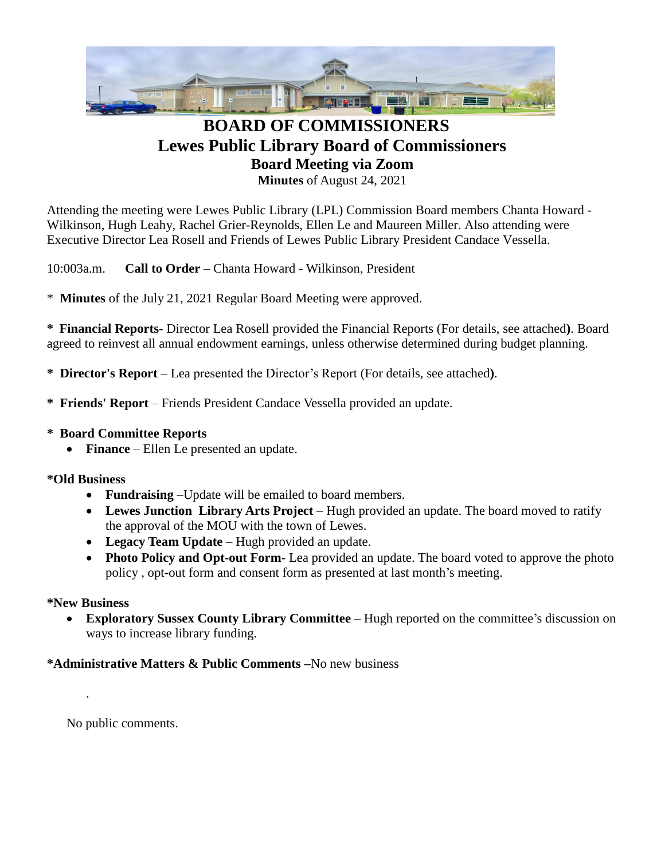

# **BOARD OF COMMISSIONERS Lewes Public Library Board of Commissioners Board Meeting via Zoom Minutes** of August 24, 2021

Attending the meeting were Lewes Public Library (LPL) Commission Board members Chanta Howard - Wilkinson, Hugh Leahy, Rachel Grier-Reynolds, Ellen Le and Maureen Miller. Also attending were Executive Director Lea Rosell and Friends of Lewes Public Library President Candace Vessella.

10:003a.m. **Call to Order** – Chanta Howard - Wilkinson, President

\* **Minutes** of the July 21, 2021 Regular Board Meeting were approved.

**\* Financial Reports**- Director Lea Rosell provided the Financial Reports (For details, see attached**)**. Board agreed to reinvest all annual endowment earnings, unless otherwise determined during budget planning.

**\* Director's Report** – Lea presented the Director's Report (For details, see attached**)**.

- **\* Friends' Report** Friends President Candace Vessella provided an update.
- **\* Board Committee Reports**
	- **Finance** Ellen Le presented an update.

#### **\*Old Business**

- **Fundraising** –Update will be emailed to board members.
- Lewes Junction Library Arts Project Hugh provided an update. The board moved to ratify the approval of the MOU with the town of Lewes.
- **Legacy Team Update** Hugh provided an update.
- **Photo Policy and Opt-out Form** Lea provided an update. The board voted to approve the photo policy , opt-out form and consent form as presented at last month's meeting.

#### **\*New Business**

.

 **Exploratory Sussex County Library Committee** – Hugh reported on the committee's discussion on ways to increase library funding.

### **\*Administrative Matters & Public Comments –**No new business

No public comments.